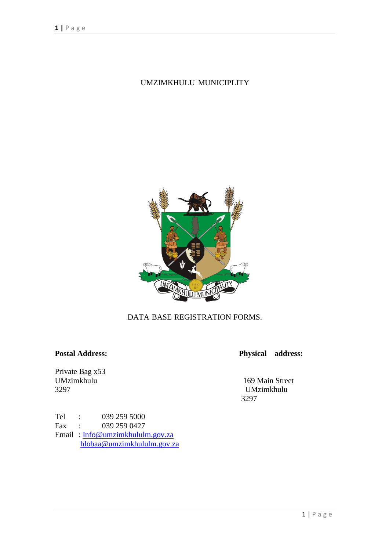# UMZIMKHULU MUNICIPLITY



### DATA BASE REGISTRATION FORMS.

Private Bag x53<br>UMzimkhulu

**Postal Address: Physical address:**

UMzimkhulu 169 Main Street 3297 UMzimkhulu 3297

Tel : 039 259 5000<br>Fax : 039 259 0427  $\colon$  039 259 0427 Email : [Info@umzimkhululm.gov.za](mailto:Info@umzimkhululm.gov.za) [hlobaa@umzimkhululm.gov.za](mailto:hlobaa@umzimkhululm.gov.za)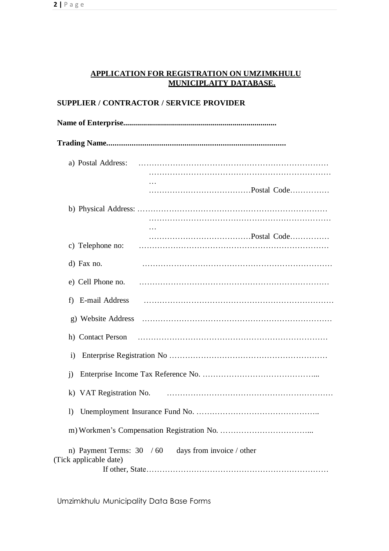#### **APPLICATION FOR REGISTRATION ON UMZIMKHULU MUNICIPLAITY DATABASE.**

#### **SUPPLIER / CONTRACTOR / SERVICE PROVIDER**

| a) Postal Address:                                                                 |  |  |  |  |
|------------------------------------------------------------------------------------|--|--|--|--|
|                                                                                    |  |  |  |  |
| c) Telephone no:                                                                   |  |  |  |  |
| d) Fax no.                                                                         |  |  |  |  |
|                                                                                    |  |  |  |  |
|                                                                                    |  |  |  |  |
|                                                                                    |  |  |  |  |
| $\rm i)$                                                                           |  |  |  |  |
| $\mathbf{i}$                                                                       |  |  |  |  |
|                                                                                    |  |  |  |  |
|                                                                                    |  |  |  |  |
| n) Payment Terms: $30 / 60$<br>days from invoice / other<br>(Tick applicable date) |  |  |  |  |

Umzimkhulu Municipality Data Base Forms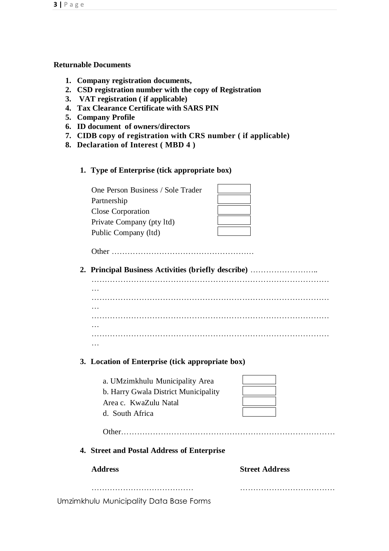#### **Returnable Documents**

- **1. Company registration documents,**
- **2. CSD registration number with the copy of Registration**
- **3. VAT registration ( if applicable)**
- **4. Tax Clearance Certificate with SARS PIN**
- **5. Company Profile**
- **6. ID document of owners/directors**
- **7. CIDB copy of registration with CRS number ( if applicable)**
- **8. Declaration of Interest ( MBD 4 )**
	- **1. Type of Enterprise (tick appropriate box)**

One Person Business / Sole Trader Partnership Close Corporation Private Company (pty ltd) Public Company (ltd)

| __                                                                                                                                                                                                                             |  |
|--------------------------------------------------------------------------------------------------------------------------------------------------------------------------------------------------------------------------------|--|
| and the control of the control of the control of the control of the control of the control of the control of the control of the control of the control of the control of the control of the control of the control of the cont |  |
|                                                                                                                                                                                                                                |  |
|                                                                                                                                                                                                                                |  |

Other ………………………………………………

**2. Principal Business Activities (briefly describe)** ……………………..

……………………………………………………………………………… … ……………………………………………………………………………… ……………………………………………………………………………… … ……………………………………………………………………………… …

#### **3. Location of Enterprise (tick appropriate box)**

| a. UMzimkhulu Municipality Area      |  |
|--------------------------------------|--|
| b. Harry Gwala District Municipality |  |
| Area c. KwaZulu Natal                |  |
| d. South Africa                      |  |

Other………………………………………………………………………

**4. Street and Postal Address of Enterprise**

| <b>Address</b> | <b>Street Address</b> |
|----------------|-----------------------|
|                |                       |

………………………………… ………………………………

Umzimkhulu Municipality Data Base Forms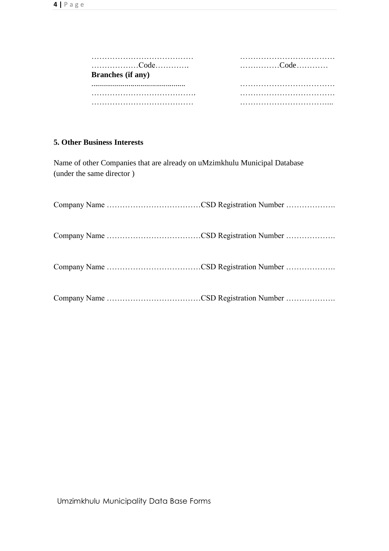| Code<br><b>Branches</b> (if any) | Code |
|----------------------------------|------|
|                                  |      |
|                                  |      |
|                                  |      |

#### **5. Other Business Interests**

Name of other Companies that are already on uMzimkhulu Municipal Database (under the same director )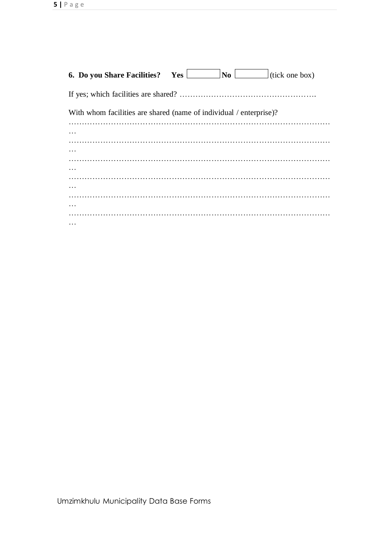| With whom facilities are shared (name of individual / enterprise)? |
|--------------------------------------------------------------------|
|                                                                    |
| $\cdots$                                                           |
|                                                                    |
|                                                                    |
| $\cdots$                                                           |
|                                                                    |
|                                                                    |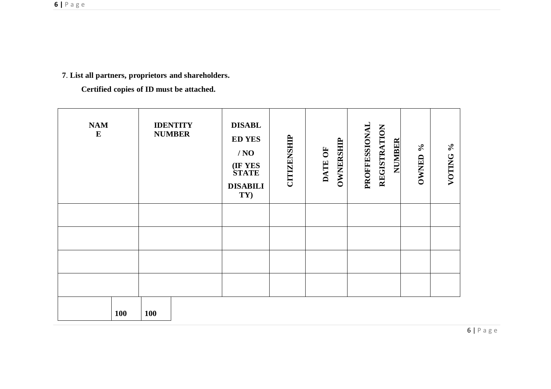# **7**. **List all partners, proprietors and shareholders.**

**Certified copies of ID must be attached.**

| NAM<br>${\bf E}$ | <b>IDENTITY</b><br><b>NUMBER</b> | <b>DISABL</b><br><b>ED YES</b><br>/ NO<br>(IF YES<br>STATE<br><b>DISABILI</b><br>TY) | <b>CITIZENSHIP</b> | OWNERSHIP<br>DATE OF | PROFFESSIONAL<br>REGISTRATION<br><b>NUMBER</b> | $\mathcal{S}_{\mathbf{0}}$<br><b>OWNED</b> | $\%$<br>VOTING |
|------------------|----------------------------------|--------------------------------------------------------------------------------------|--------------------|----------------------|------------------------------------------------|--------------------------------------------|----------------|
|                  |                                  |                                                                                      |                    |                      |                                                |                                            |                |
|                  |                                  |                                                                                      |                    |                      |                                                |                                            |                |
|                  |                                  |                                                                                      |                    |                      |                                                |                                            |                |
|                  |                                  |                                                                                      |                    |                      |                                                |                                            |                |
| 100              | <b>100</b>                       |                                                                                      |                    |                      |                                                |                                            |                |

6 | P a g e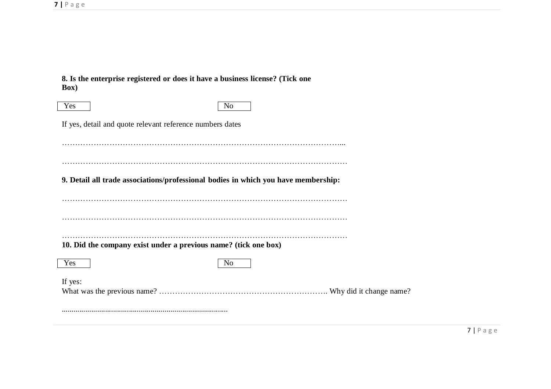**8. Is the enterprise registered or does it have a business license? (Tick one Box)**

| Yes                                                                                | N <sub>0</sub> |
|------------------------------------------------------------------------------------|----------------|
| If yes, detail and quote relevant reference numbers dates                          |                |
|                                                                                    |                |
|                                                                                    |                |
| 9. Detail all trade associations/professional bodies in which you have membership: |                |
|                                                                                    |                |
|                                                                                    |                |
|                                                                                    |                |
| 10. Did the company exist under a previous name? (tick one box)                    |                |
| Yes                                                                                | N <sub>0</sub> |
| If yes:                                                                            |                |
|                                                                                    |                |
|                                                                                    |                |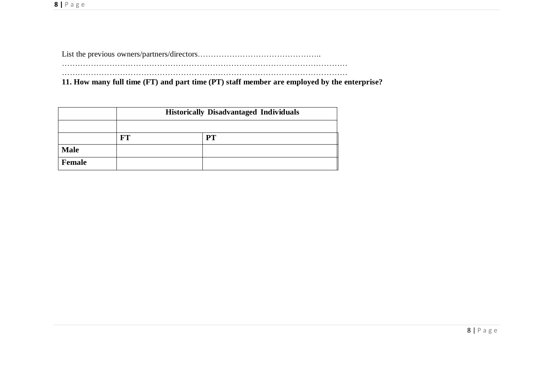List the previous owners/partners/directors……………………………………….. ……………………………………………………………………………………………… ………………………………………………………………………………………………

**11. How many full time (FT) and part time (PT) staff member are employed by the enterprise?**

|             | <b>Historically Disadvantaged Individuals</b> |    |  |
|-------------|-----------------------------------------------|----|--|
|             |                                               |    |  |
|             | R'T                                           | PТ |  |
| <b>Male</b> |                                               |    |  |
| Female      |                                               |    |  |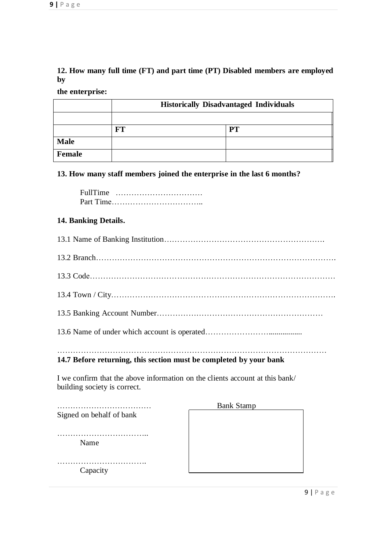## **12. How many full time (FT) and part time (PT) Disabled members are employed by**

**the enterprise:**

|             | <b>Historically Disadvantaged Individuals</b> |    |  |
|-------------|-----------------------------------------------|----|--|
|             |                                               |    |  |
|             | FT                                            | PT |  |
| <b>Male</b> |                                               |    |  |
| Female      |                                               |    |  |

#### **13. How many staff members joined the enterprise in the last 6 months?**

FullTime …………………………… Part Time……………………………..

#### **14. Banking Details.**

#### ………………………………………………………………………………………… **14.7 Before returning, this section must be completed by your bank**

I we confirm that the above information on the clients account at this bank/ building society is correct.

|                          | <b>Bank Stamp</b> |
|--------------------------|-------------------|
| Signed on behalf of bank |                   |
|                          |                   |
| Name                     |                   |
| Capacity                 |                   |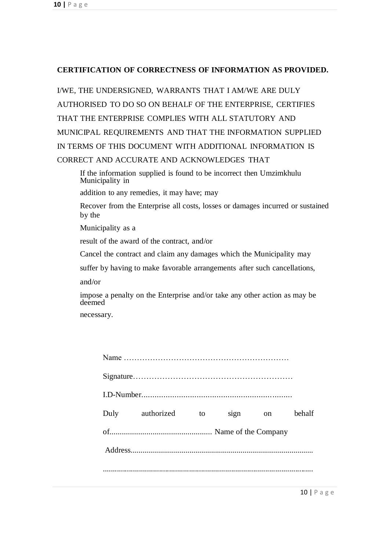#### **CERTIFICATION OF CORRECTNESS OF INFORMATION AS PROVIDED.**

I/WE, THE UNDERSIGNED, WARRANTS THAT I AM/WE ARE DULY AUTHORISED TO DO SO ON BEHALF OF THE ENTERPRISE, CERTIFIES THAT THE ENTERPRISE COMPLIES WITH ALL STATUTORY AND MUNICIPAL REQUIREMENTS AND THAT THE INFORMATION SUPPLIED IN TERMS OF THIS DOCUMENT WITH ADDITIONAL INFORMATION IS CORRECT AND ACCURATE AND ACKNOWLEDGES THAT

If the information supplied is found to be incorrect then Umzimkhulu Municipality in

addition to any remedies, it may have; may

Recover from the Enterprise all costs, losses or damages incurred or sustained by the

Municipality as a

result of the award of the contract, and/or

Cancel the contract and claim any damages which the Municipality may

suffer by having to make favorable arrangements after such cancellations,

and/or

impose a penalty on the Enterprise and/or take any other action as may be deemed

necessary.

| Duly authorized | to | sign on | behalf |
|-----------------|----|---------|--------|
|                 |    |         |        |
|                 |    |         |        |
|                 |    |         |        |